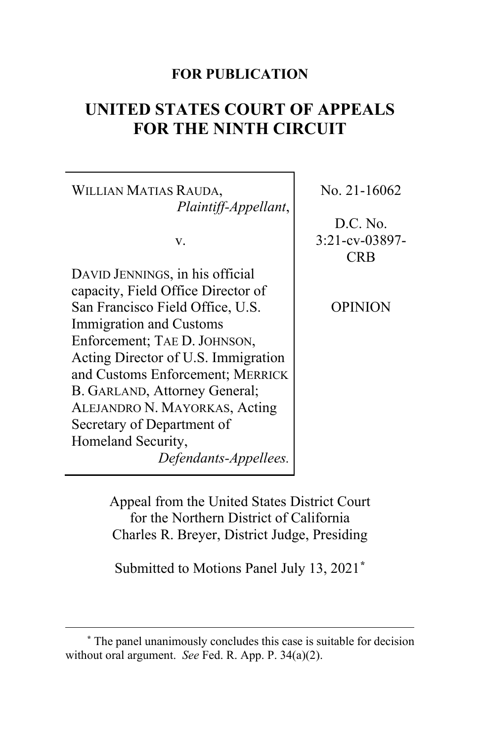## **FOR PUBLICATION**

# **UNITED STATES COURT OF APPEALS FOR THE NINTH CIRCUIT**

WILLIAN MATIAS RAUDA, *Plaintiff-Appellant*,

v.

DAVID JENNINGS, in his official capacity, Field Office Director of San Francisco Field Office, U.S. Immigration and Customs Enforcement; TAE D. JOHNSON, Acting Director of U.S. Immigration and Customs Enforcement; MERRICK B. GARLAND, Attorney General; ALEJANDRO N. MAYORKAS, Acting Secretary of Department of Homeland Security, *Defendants-Appellees.*

No. 21-16062

D.C. No. 3:21-cv-03897- **CRB** 

OPINION

Appeal from the United States District Court for the Northern District of California Charles R. Breyer, District Judge, Presiding

Submitted to Motions Panel July 13, 2021**[\\*](#page-0-0)**

<span id="page-0-0"></span>**<sup>\*</sup>** The panel unanimously concludes this case is suitable for decision without oral argument. *See* Fed. R. App. P. 34(a)(2).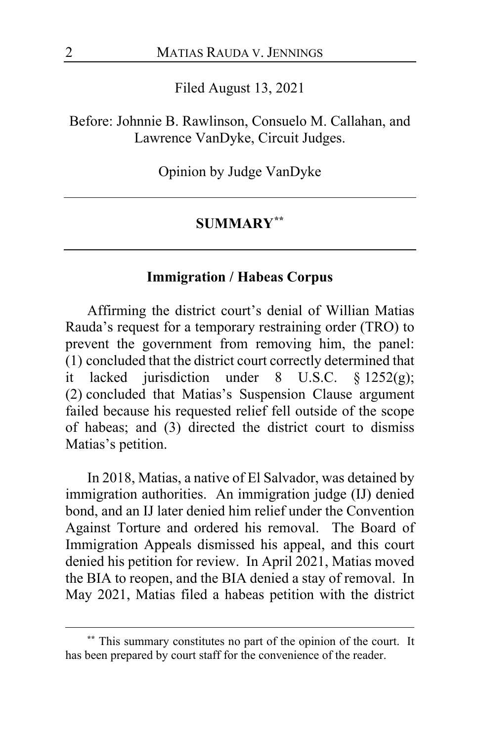Filed August 13, 2021

Before: Johnnie B. Rawlinson, Consuelo M. Callahan, and Lawrence VanDyke, Circuit Judges.

Opinion by Judge VanDyke

#### **SUMMARY[\\*\\*](#page-1-0)**

## **Immigration / Habeas Corpus**

Affirming the district court's denial of Willian Matias Rauda's request for a temporary restraining order (TRO) to prevent the government from removing him, the panel: (1) concluded that the district court correctly determined that it lacked jurisdiction under 8 U.S.C. § 1252(g); (2) concluded that Matias's Suspension Clause argument failed because his requested relief fell outside of the scope of habeas; and (3) directed the district court to dismiss Matias's petition.

In 2018, Matias, a native of El Salvador, was detained by immigration authorities. An immigration judge (IJ) denied bond, and an IJ later denied him relief under the Convention Against Torture and ordered his removal. The Board of Immigration Appeals dismissed his appeal, and this court denied his petition for review. In April 2021, Matias moved the BIA to reopen, and the BIA denied a stay of removal. In May 2021, Matias filed a habeas petition with the district

<span id="page-1-0"></span>**<sup>\*\*</sup>** This summary constitutes no part of the opinion of the court. It has been prepared by court staff for the convenience of the reader.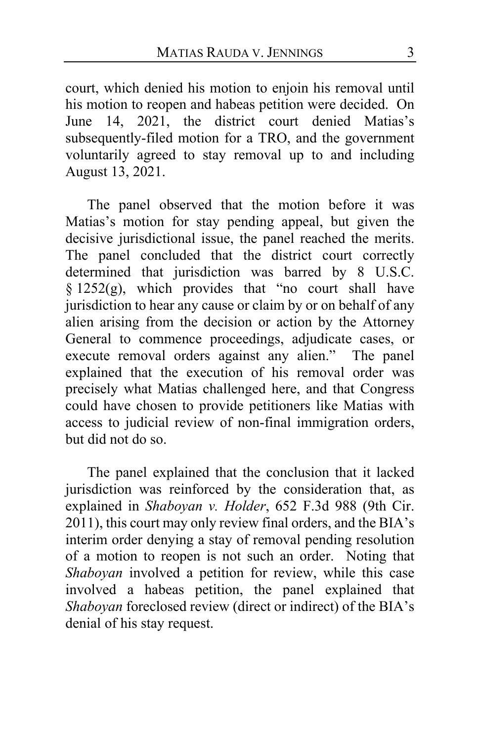court, which denied his motion to enjoin his removal until his motion to reopen and habeas petition were decided. On June 14, 2021, the district court denied Matias's subsequently-filed motion for a TRO, and the government voluntarily agreed to stay removal up to and including August 13, 2021.

The panel observed that the motion before it was Matias's motion for stay pending appeal, but given the decisive jurisdictional issue, the panel reached the merits. The panel concluded that the district court correctly determined that jurisdiction was barred by 8 U.S.C. § 1252(g), which provides that "no court shall have jurisdiction to hear any cause or claim by or on behalf of any alien arising from the decision or action by the Attorney General to commence proceedings, adjudicate cases, or execute removal orders against any alien." The panel explained that the execution of his removal order was precisely what Matias challenged here, and that Congress could have chosen to provide petitioners like Matias with access to judicial review of non-final immigration orders, but did not do so.

The panel explained that the conclusion that it lacked jurisdiction was reinforced by the consideration that, as explained in *Shaboyan v. Holder*, 652 F.3d 988 (9th Cir. 2011), this court may only review final orders, and the BIA's interim order denying a stay of removal pending resolution of a motion to reopen is not such an order. Noting that *Shaboyan* involved a petition for review, while this case involved a habeas petition, the panel explained that *Shaboyan* foreclosed review (direct or indirect) of the BIA's denial of his stay request.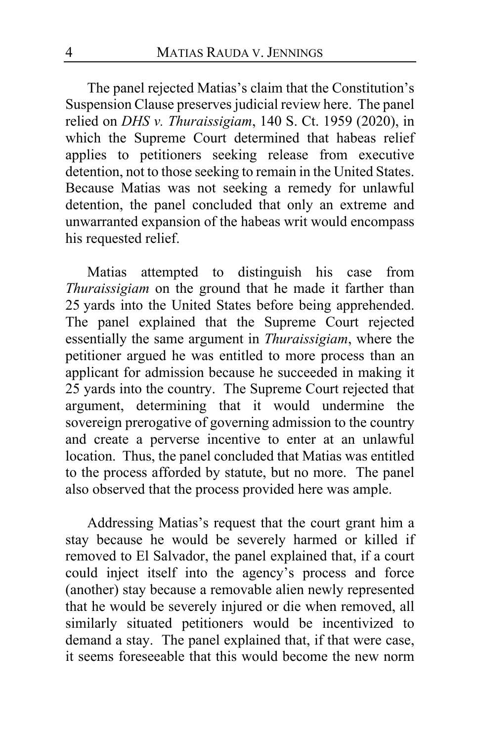The panel rejected Matias's claim that the Constitution's Suspension Clause preserves judicial review here. The panel relied on *DHS v. Thuraissigiam*, 140 S. Ct. 1959 (2020), in which the Supreme Court determined that habeas relief applies to petitioners seeking release from executive detention, not to those seeking to remain in the United States. Because Matias was not seeking a remedy for unlawful detention, the panel concluded that only an extreme and unwarranted expansion of the habeas writ would encompass his requested relief.

Matias attempted to distinguish his case from *Thuraissigiam* on the ground that he made it farther than 25 yards into the United States before being apprehended. The panel explained that the Supreme Court rejected essentially the same argument in *Thuraissigiam*, where the petitioner argued he was entitled to more process than an applicant for admission because he succeeded in making it 25 yards into the country. The Supreme Court rejected that argument, determining that it would undermine the sovereign prerogative of governing admission to the country and create a perverse incentive to enter at an unlawful location. Thus, the panel concluded that Matias was entitled to the process afforded by statute, but no more. The panel also observed that the process provided here was ample.

Addressing Matias's request that the court grant him a stay because he would be severely harmed or killed if removed to El Salvador, the panel explained that, if a court could inject itself into the agency's process and force (another) stay because a removable alien newly represented that he would be severely injured or die when removed, all similarly situated petitioners would be incentivized to demand a stay. The panel explained that, if that were case, it seems foreseeable that this would become the new norm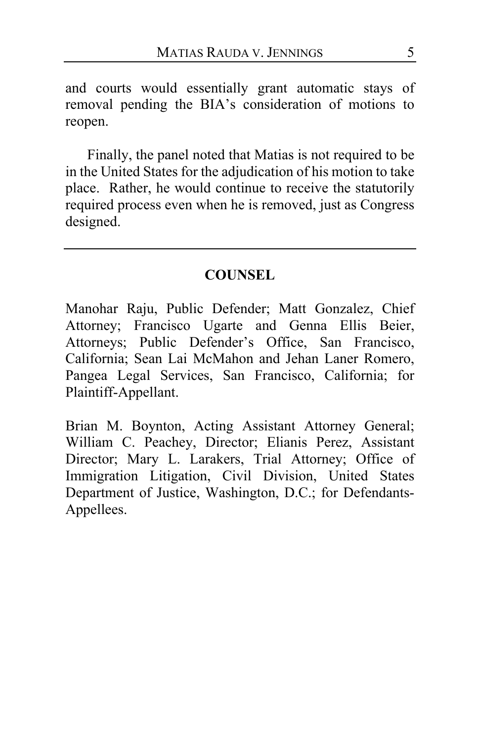and courts would essentially grant automatic stays of removal pending the BIA's consideration of motions to reopen.

Finally, the panel noted that Matias is not required to be in the United States for the adjudication of his motion to take place. Rather, he would continue to receive the statutorily required process even when he is removed, just as Congress designed.

## **COUNSEL**

Manohar Raju, Public Defender; Matt Gonzalez, Chief Attorney; Francisco Ugarte and Genna Ellis Beier, Attorneys; Public Defender's Office, San Francisco, California; Sean Lai McMahon and Jehan Laner Romero, Pangea Legal Services, San Francisco, California; for Plaintiff-Appellant.

Brian M. Boynton, Acting Assistant Attorney General; William C. Peachey, Director; Elianis Perez, Assistant Director; Mary L. Larakers, Trial Attorney; Office of Immigration Litigation, Civil Division, United States Department of Justice, Washington, D.C.; for Defendants-Appellees.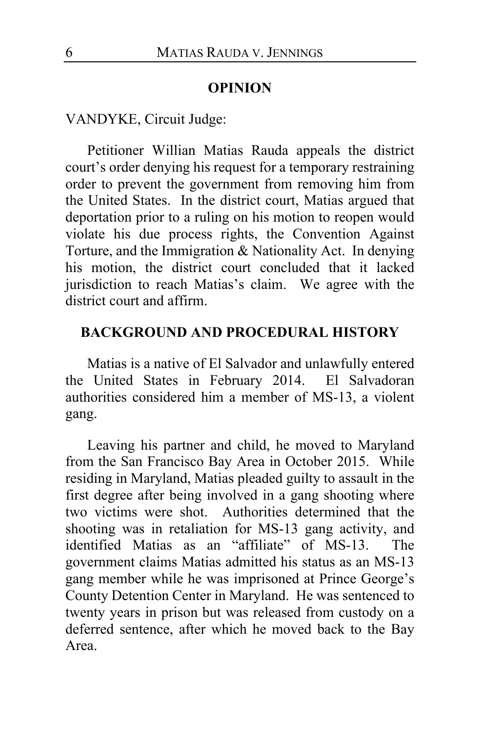#### **OPINION**

VANDYKE, Circuit Judge:

Petitioner Willian Matias Rauda appeals the district court's order denying his request for a temporary restraining order to prevent the government from removing him from the United States. In the district court, Matias argued that deportation prior to a ruling on his motion to reopen would violate his due process rights, the Convention Against Torture, and the Immigration & Nationality Act. In denying his motion, the district court concluded that it lacked jurisdiction to reach Matias's claim. We agree with the district court and affirm.

#### **BACKGROUND AND PROCEDURAL HISTORY**

Matias is a native of El Salvador and unlawfully entered the United States in February 2014. El Salvadoran authorities considered him a member of MS-13, a violent gang.

Leaving his partner and child, he moved to Maryland from the San Francisco Bay Area in October 2015. While residing in Maryland, Matias pleaded guilty to assault in the first degree after being involved in a gang shooting where two victims were shot. Authorities determined that the shooting was in retaliation for MS-13 gang activity, and identified Matias as an "affiliate" of MS-13. The government claims Matias admitted his status as an MS-13 gang member while he was imprisoned at Prince George's County Detention Center in Maryland.He was sentenced to twenty years in prison but was released from custody on a deferred sentence, after which he moved back to the Bay Area.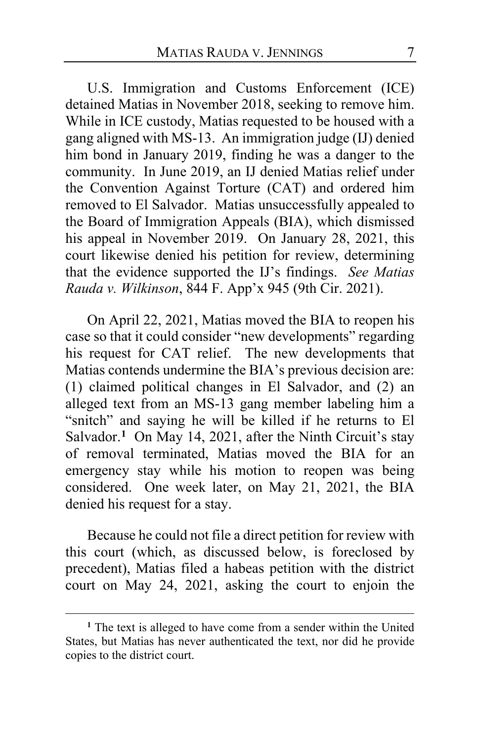U.S. Immigration and Customs Enforcement (ICE) detained Matias in November 2018, seeking to remove him. While in ICE custody, Matias requested to be housed with a gang aligned with MS-13. An immigration judge (IJ) denied him bond in January 2019, finding he was a danger to the community.In June 2019, an IJ denied Matias relief under the Convention Against Torture (CAT) and ordered him removed to El Salvador. Matias unsuccessfully appealed to the Board of Immigration Appeals (BIA), which dismissed his appeal in November 2019.On January 28, 2021, this court likewise denied his petition for review, determining that the evidence supported the IJ's findings. *See Matias Rauda v. Wilkinson*, 844 F. App'x 945 (9th Cir. 2021).

On April 22, 2021, Matias moved the BIA to reopen his case so that it could consider "new developments" regarding his request for CAT relief. The new developments that Matias contends undermine the BIA's previous decision are: (1) claimed political changes in El Salvador, and (2) an alleged text from an MS-13 gang member labeling him a "snitch" and saying he will be killed if he returns to El Salvador.<sup>[1](#page-6-0)</sup> On May 14, 2021, after the Ninth Circuit's stay of removal terminated, Matias moved the BIA for an emergency stay while his motion to reopen was being considered. One week later, on May 21, 2021, the BIA denied his request for a stay.

Because he could not file a direct petition for review with this court (which, as discussed below, is foreclosed by precedent), Matias filed a habeas petition with the district court on May 24, 2021, asking the court to enjoin the

<span id="page-6-0"></span>**<sup>1</sup>** The text is alleged to have come from a sender within the United States, but Matias has never authenticated the text, nor did he provide copies to the district court.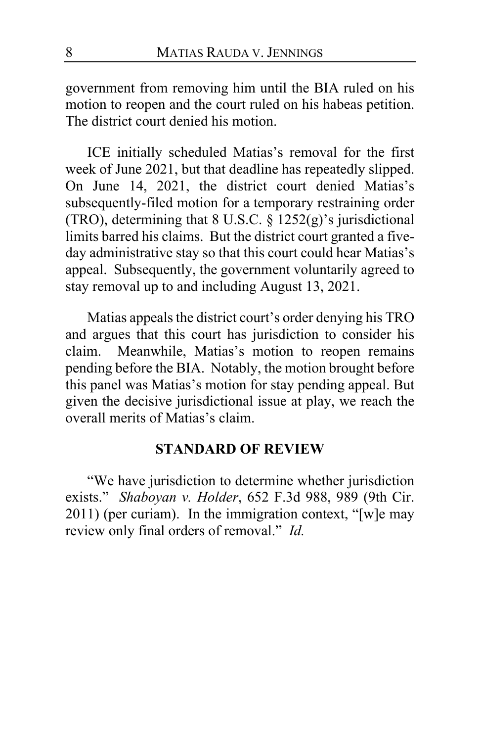government from removing him until the BIA ruled on his motion to reopen and the court ruled on his habeas petition. The district court denied his motion.

ICE initially scheduled Matias's removal for the first week of June 2021, but that deadline has repeatedly slipped. On June 14, 2021, the district court denied Matias's subsequently-filed motion for a temporary restraining order (TRO), determining that 8 U.S.C. § 1252(g)'s jurisdictional limits barred his claims. But the district court granted a fiveday administrative stay so that this court could hear Matias's appeal. Subsequently, the government voluntarily agreed to stay removal up to and including August 13, 2021.

Matias appeals the district court's order denying his TRO and argues that this court has jurisdiction to consider his claim. Meanwhile, Matias's motion to reopen remains pending before the BIA. Notably, the motion brought before this panel was Matias's motion for stay pending appeal. But given the decisive jurisdictional issue at play, we reach the overall merits of Matias's claim.

#### **STANDARD OF REVIEW**

"We have jurisdiction to determine whether jurisdiction exists." *Shaboyan v. Holder*, 652 F.3d 988, 989 (9th Cir. 2011) (per curiam). In the immigration context, "[w]e may review only final orders of removal." *Id.*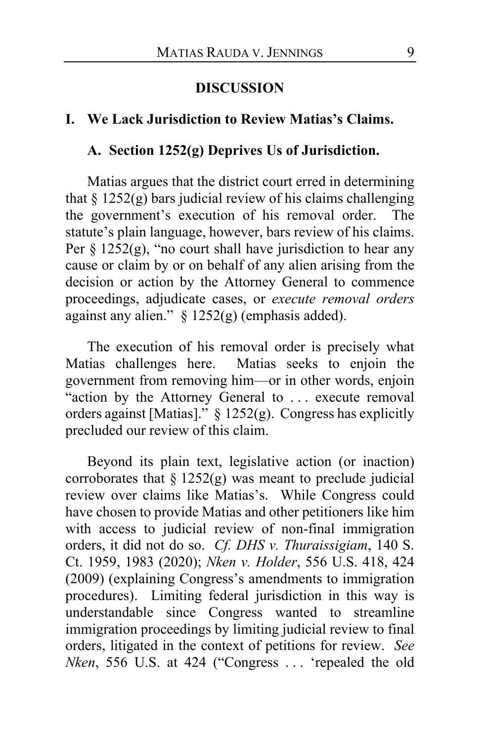## **DISCUSSION**

## **I. We Lack Jurisdiction to Review Matias's Claims.**

#### **A. Section 1252(g) Deprives Us of Jurisdiction.**

Matias argues that the district court erred in determining that  $\S 1252(g)$  bars judicial review of his claims challenging the government's execution of his removal order. The statute's plain language, however, bars review of his claims. Per § 1252(g), "no court shall have jurisdiction to hear any cause or claim by or on behalf of any alien arising from the decision or action by the Attorney General to commence proceedings, adjudicate cases, or *execute removal orders* against any alien." § 1252(g) (emphasis added).

The execution of his removal order is precisely what Matias challenges here. Matias seeks to enjoin the government from removing him—or in other words, enjoin "action by the Attorney General to . . . execute removal orders against [Matias]." § 1252(g). Congress has explicitly precluded our review of this claim.

Beyond its plain text, legislative action (or inaction) corroborates that  $\S 1252(g)$  was meant to preclude judicial review over claims like Matias's. While Congress could have chosen to provide Matias and other petitioners like him with access to judicial review of non-final immigration orders, it did not do so. *Cf. DHS v. Thuraissigiam*, 140 S. Ct. 1959, 1983 (2020); *Nken v. Holder*, 556 U.S. 418, 424 (2009) (explaining Congress's amendments to immigration procedures). Limiting federal jurisdiction in this way is understandable since Congress wanted to streamline immigration proceedings by limiting judicial review to final orders, litigated in the context of petitions for review. *See Nken*, 556 U.S. at 424 ("Congress . . . 'repealed the old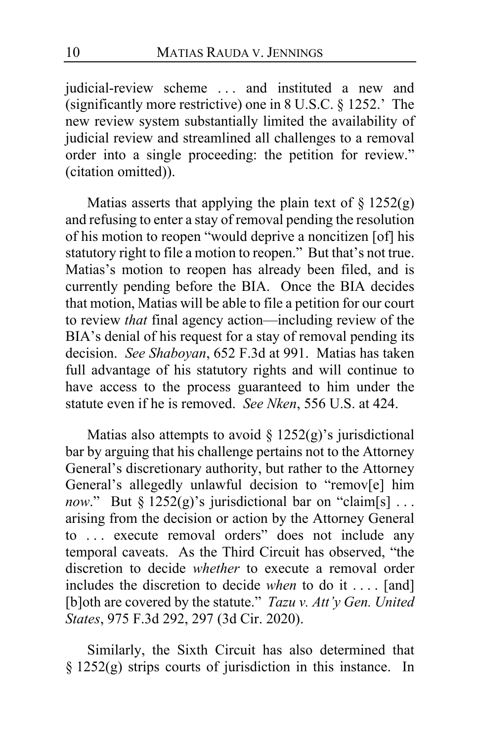judicial-review scheme ... and instituted a new and (significantly more restrictive) one in 8 U.S.C. § 1252.' The new review system substantially limited the availability of judicial review and streamlined all challenges to a removal order into a single proceeding: the petition for review." (citation omitted)).

Matias asserts that applying the plain text of  $\S 1252(g)$ and refusing to enter a stay of removal pending the resolution of his motion to reopen "would deprive a noncitizen [of] his statutory right to file a motion to reopen." But that's not true. Matias's motion to reopen has already been filed, and is currently pending before the BIA. Once the BIA decides that motion, Matias will be able to file a petition for our court to review *that* final agency action—including review of the BIA's denial of his request for a stay of removal pending its decision. *See Shaboyan*, 652 F.3d at 991. Matias has taken full advantage of his statutory rights and will continue to have access to the process guaranteed to him under the statute even if he is removed. *See Nken*, 556 U.S. at 424.

Matias also attempts to avoid  $\S 1252(g)'$ s jurisdictional bar by arguing that his challenge pertains not to the Attorney General's discretionary authority, but rather to the Attorney General's allegedly unlawful decision to "remov[e] him *now*." But §  $1252(g)$ 's jurisdictional bar on "claim[s] ... arising from the decision or action by the Attorney General to . . . execute removal orders" does not include any temporal caveats. As the Third Circuit has observed, "the discretion to decide *whether* to execute a removal order includes the discretion to decide *when* to do it . . . . [and] [b]oth are covered by the statute." *Tazu v. Att'y Gen. United States*, 975 F.3d 292, 297 (3d Cir. 2020).

Similarly, the Sixth Circuit has also determined that § 1252(g) strips courts of jurisdiction in this instance. In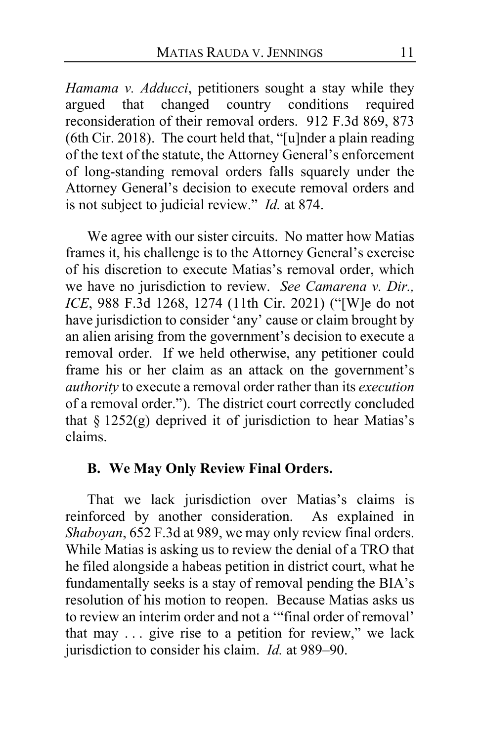*Hamama v. Adducci*, petitioners sought a stay while they argued that changed country conditions required reconsideration of their removal orders. 912 F.3d 869, 873 (6th Cir. 2018). The court held that, "[u]nder a plain reading of the text of the statute, the Attorney General's enforcement of long-standing removal orders falls squarely under the Attorney General's decision to execute removal orders and is not subject to judicial review." *Id.* at 874.

We agree with our sister circuits. No matter how Matias frames it, his challenge is to the Attorney General's exercise of his discretion to execute Matias's removal order, which we have no jurisdiction to review. *See Camarena v. Dir., ICE*, 988 F.3d 1268, 1274 (11th Cir. 2021) ("[W]e do not have jurisdiction to consider 'any' cause or claim brought by an alien arising from the government's decision to execute a removal order. If we held otherwise, any petitioner could frame his or her claim as an attack on the government's *authority* to execute a removal order rather than its *execution* of a removal order."). The district court correctly concluded that  $\S 1252(g)$  deprived it of jurisdiction to hear Matias's claims.

## **B. We May Only Review Final Orders.**

That we lack jurisdiction over Matias's claims is reinforced by another consideration. As explained in *Shaboyan*, 652 F.3d at 989, we may only review final orders. While Matias is asking us to review the denial of a TRO that he filed alongside a habeas petition in district court, what he fundamentally seeks is a stay of removal pending the BIA's resolution of his motion to reopen. Because Matias asks us to review an interim order and not a '"final order of removal' that may . . . give rise to a petition for review," we lack jurisdiction to consider his claim. *Id.* at 989–90.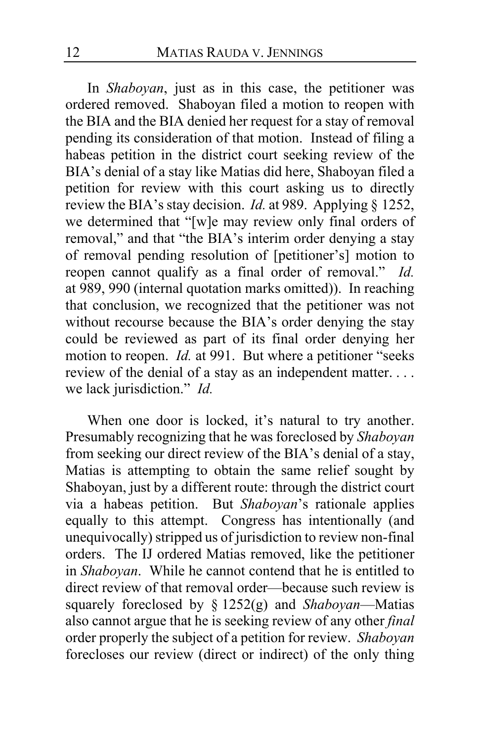In *Shaboyan*, just as in this case, the petitioner was ordered removed. Shaboyan filed a motion to reopen with the BIA and the BIA denied her request for a stay of removal pending its consideration of that motion. Instead of filing a habeas petition in the district court seeking review of the BIA's denial of a stay like Matias did here, Shaboyan filed a petition for review with this court asking us to directly review the BIA's stay decision. *Id.* at 989. Applying § 1252, we determined that "[w]e may review only final orders of removal," and that "the BIA's interim order denying a stay of removal pending resolution of [petitioner's] motion to reopen cannot qualify as a final order of removal." *Id.* at 989, 990 (internal quotation marks omitted)). In reaching that conclusion, we recognized that the petitioner was not without recourse because the BIA's order denying the stay could be reviewed as part of its final order denying her motion to reopen. *Id.* at 991. But where a petitioner "seeks review of the denial of a stay as an independent matter. . . . we lack jurisdiction." *Id.*

When one door is locked, it's natural to try another. Presumably recognizing that he was foreclosed by *Shaboyan* from seeking our direct review of the BIA's denial of a stay, Matias is attempting to obtain the same relief sought by Shaboyan, just by a different route: through the district court via a habeas petition. But *Shaboyan*'s rationale applies equally to this attempt. Congress has intentionally (and unequivocally) stripped us of jurisdiction to review non-final orders. The IJ ordered Matias removed, like the petitioner in *Shaboyan*. While he cannot contend that he is entitled to direct review of that removal order—because such review is squarely foreclosed by § 1252(g) and *Shaboyan*—Matias also cannot argue that he is seeking review of any other *final* order properly the subject of a petition for review. *Shaboyan* forecloses our review (direct or indirect) of the only thing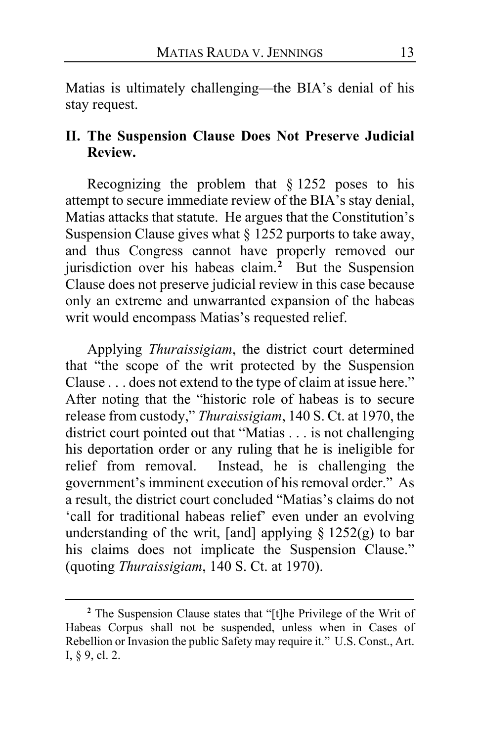Matias is ultimately challenging—the BIA's denial of his stay request.

## **II. The Suspension Clause Does Not Preserve Judicial Review.**

Recognizing the problem that  $\S 1252$  poses to his attempt to secure immediate review of the BIA's stay denial, Matias attacks that statute. He argues that the Constitution's Suspension Clause gives what § 1252 purports to take away, and thus Congress cannot have properly removed our jurisdiction over his habeas claim.**[2](#page-12-0)** But the Suspension Clause does not preserve judicial review in this case because only an extreme and unwarranted expansion of the habeas writ would encompass Matias's requested relief.

Applying *Thuraissigiam*, the district court determined that "the scope of the writ protected by the Suspension Clause . . . does not extend to the type of claim at issue here." After noting that the "historic role of habeas is to secure release from custody," *Thuraissigiam*, 140 S. Ct. at 1970, the district court pointed out that "Matias . . . is not challenging his deportation order or any ruling that he is ineligible for relief from removal. Instead, he is challenging the government's imminent execution of his removal order." As a result, the district court concluded "Matias's claims do not 'call for traditional habeas relief' even under an evolving understanding of the writ, [and] applying  $\S$  1252(g) to bar his claims does not implicate the Suspension Clause." (quoting *Thuraissigiam*, 140 S. Ct. at 1970).

<span id="page-12-0"></span>**<sup>2</sup>** The Suspension Clause states that "[t]he Privilege of the Writ of Habeas Corpus shall not be suspended, unless when in Cases of Rebellion or Invasion the public Safety may require it." U.S. Const., Art. I, § 9, cl. 2.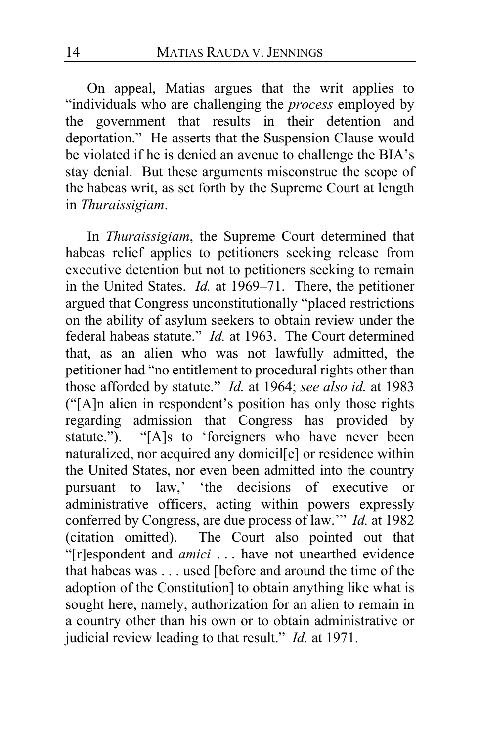On appeal, Matias argues that the writ applies to "individuals who are challenging the *process* employed by the government that results in their detention and deportation." He asserts that the Suspension Clause would be violated if he is denied an avenue to challenge the BIA's stay denial. But these arguments misconstrue the scope of the habeas writ, as set forth by the Supreme Court at length in *Thuraissigiam*.

In *Thuraissigiam*, the Supreme Court determined that habeas relief applies to petitioners seeking release from executive detention but not to petitioners seeking to remain in the United States. *Id.* at 1969–71. There, the petitioner argued that Congress unconstitutionally "placed restrictions on the ability of asylum seekers to obtain review under the federal habeas statute." *Id.* at 1963. The Court determined that, as an alien who was not lawfully admitted, the petitioner had "no entitlement to procedural rights other than those afforded by statute." *Id.* at 1964; *see also id.* at 1983 ("[A]n alien in respondent's position has only those rights regarding admission that Congress has provided by statute."). "[A]s to 'foreigners who have never been naturalized, nor acquired any domicil[e] or residence within the United States, nor even been admitted into the country pursuant to law,' 'the decisions of executive or administrative officers, acting within powers expressly conferred by Congress, are due process of law.'" *Id.* at 1982 (citation omitted). The Court also pointed out that "[r]espondent and *amici* . . . have not unearthed evidence that habeas was . . . used [before and around the time of the adoption of the Constitution] to obtain anything like what is sought here, namely, authorization for an alien to remain in a country other than his own or to obtain administrative or judicial review leading to that result." *Id.* at 1971.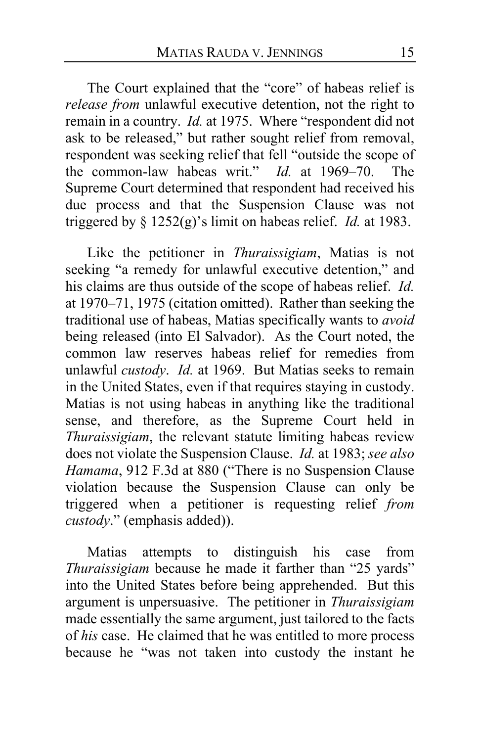The Court explained that the "core" of habeas relief is *release from* unlawful executive detention, not the right to remain in a country. *Id.* at 1975. Where "respondent did not ask to be released," but rather sought relief from removal, respondent was seeking relief that fell "outside the scope of the common-law habeas writ." *Id.* at 1969–70. The Supreme Court determined that respondent had received his due process and that the Suspension Clause was not triggered by § 1252(g)'s limit on habeas relief. *Id.* at 1983.

Like the petitioner in *Thuraissigiam*, Matias is not seeking "a remedy for unlawful executive detention," and his claims are thus outside of the scope of habeas relief. *Id.* at 1970–71, 1975 (citation omitted). Rather than seeking the traditional use of habeas, Matias specifically wants to *avoid* being released (into El Salvador). As the Court noted, the common law reserves habeas relief for remedies from unlawful *custody*. *Id.* at 1969. But Matias seeks to remain in the United States, even if that requires staying in custody. Matias is not using habeas in anything like the traditional sense, and therefore, as the Supreme Court held in *Thuraissigiam*, the relevant statute limiting habeas review does not violate the Suspension Clause. *Id.* at 1983; *see also Hamama*, 912 F.3d at 880 ("There is no Suspension Clause violation because the Suspension Clause can only be triggered when a petitioner is requesting relief *from custody*." (emphasis added)).

Matias attempts to distinguish his case from *Thuraissigiam* because he made it farther than "25 yards" into the United States before being apprehended. But this argument is unpersuasive. The petitioner in *Thuraissigiam* made essentially the same argument, just tailored to the facts of *his* case. He claimed that he was entitled to more process because he "was not taken into custody the instant he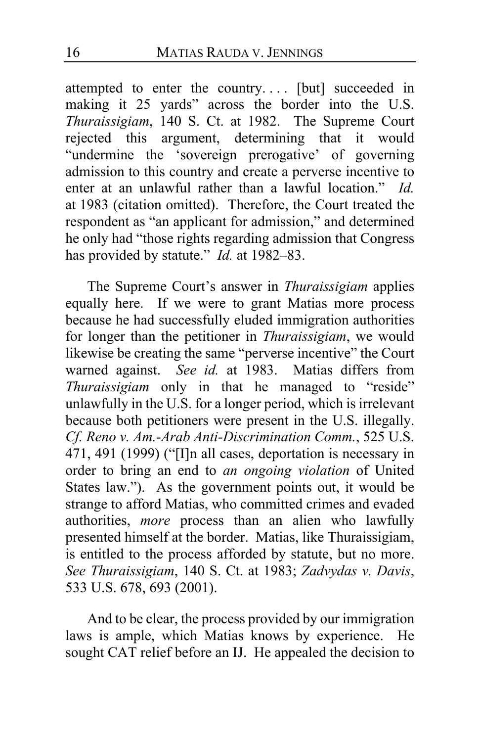attempted to enter the country.... [but] succeeded in making it 25 yards" across the border into the U.S. *Thuraissigiam*, 140 S. Ct. at 1982. The Supreme Court rejected this argument, determining that it would "undermine the 'sovereign prerogative' of governing admission to this country and create a perverse incentive to enter at an unlawful rather than a lawful location." *Id.* at 1983 (citation omitted). Therefore, the Court treated the respondent as "an applicant for admission," and determined he only had "those rights regarding admission that Congress has provided by statute." *Id.* at 1982–83.

The Supreme Court's answer in *Thuraissigiam* applies equally here. If we were to grant Matias more process because he had successfully eluded immigration authorities for longer than the petitioner in *Thuraissigiam*, we would likewise be creating the same "perverse incentive" the Court warned against. *See id.* at 1983. Matias differs from *Thuraissigiam* only in that he managed to "reside" unlawfully in the U.S. for a longer period, which is irrelevant because both petitioners were present in the U.S. illegally. *Cf. Reno v. Am.-Arab Anti-Discrimination Comm.*, 525 U.S. 471, 491 (1999) ("[I]n all cases, deportation is necessary in order to bring an end to *an ongoing violation* of United States law."). As the government points out, it would be strange to afford Matias, who committed crimes and evaded authorities, *more* process than an alien who lawfully presented himself at the border. Matias, like Thuraissigiam, is entitled to the process afforded by statute, but no more. *See Thuraissigiam*, 140 S. Ct. at 1983; *Zadvydas v. Davis*, 533 U.S. 678, 693 (2001).

And to be clear, the process provided by our immigration laws is ample, which Matias knows by experience. He sought CAT relief before an IJ. He appealed the decision to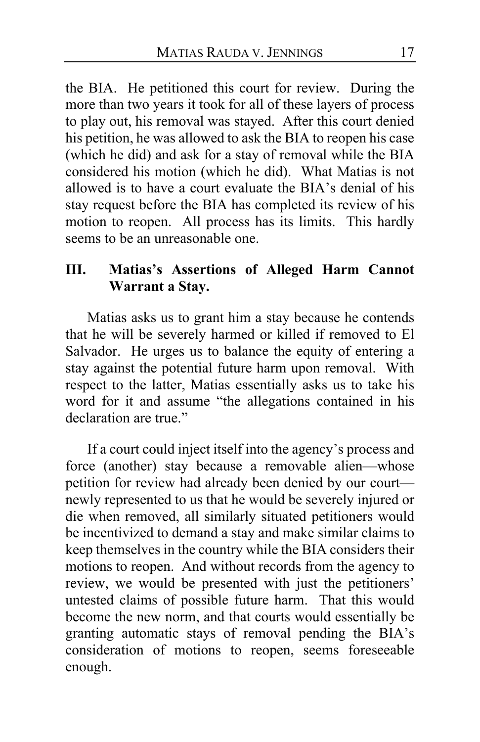the BIA. He petitioned this court for review. During the more than two years it took for all of these layers of process to play out, his removal was stayed. After this court denied his petition, he was allowed to ask the BIA to reopen his case (which he did) and ask for a stay of removal while the BIA considered his motion (which he did). What Matias is not allowed is to have a court evaluate the BIA's denial of his stay request before the BIA has completed its review of his motion to reopen. All process has its limits. This hardly seems to be an unreasonable one.

## **III. Matias's Assertions of Alleged Harm Cannot Warrant a Stay.**

Matias asks us to grant him a stay because he contends that he will be severely harmed or killed if removed to El Salvador. He urges us to balance the equity of entering a stay against the potential future harm upon removal. With respect to the latter, Matias essentially asks us to take his word for it and assume "the allegations contained in his declaration are true."

If a court could inject itself into the agency's process and force (another) stay because a removable alien—whose petition for review had already been denied by our court newly represented to us that he would be severely injured or die when removed, all similarly situated petitioners would be incentivized to demand a stay and make similar claims to keep themselves in the country while the BIA considers their motions to reopen. And without records from the agency to review, we would be presented with just the petitioners' untested claims of possible future harm. That this would become the new norm, and that courts would essentially be granting automatic stays of removal pending the BIA's consideration of motions to reopen, seems foreseeable enough.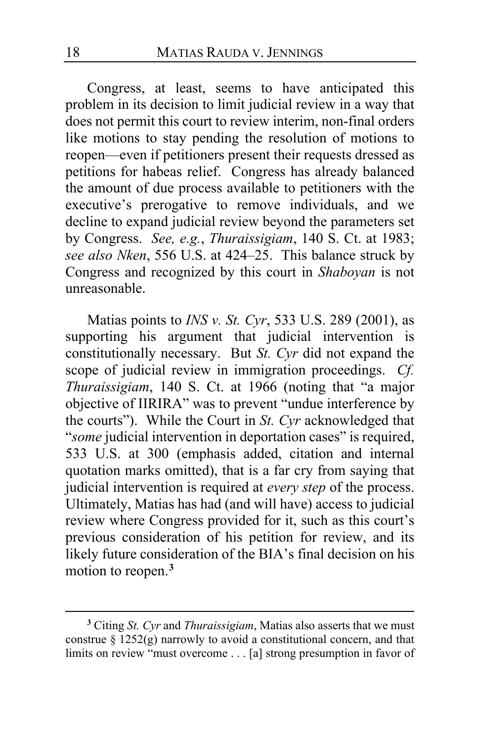Congress, at least, seems to have anticipated this problem in its decision to limit judicial review in a way that does not permit this court to review interim, non-final orders like motions to stay pending the resolution of motions to reopen—even if petitioners present their requests dressed as petitions for habeas relief. Congress has already balanced the amount of due process available to petitioners with the executive's prerogative to remove individuals, and we decline to expand judicial review beyond the parameters set by Congress. *See, e.g.*, *Thuraissigiam*, 140 S. Ct. at 1983; *see also Nken*, 556 U.S. at 424–25. This balance struck by Congress and recognized by this court in *Shaboyan* is not unreasonable.

Matias points to *INS v. St. Cyr*, 533 U.S. 289 (2001), as supporting his argument that judicial intervention is constitutionally necessary. But *St. Cyr* did not expand the scope of judicial review in immigration proceedings. *Cf. Thuraissigiam*, 140 S. Ct. at 1966 (noting that "a major objective of IIRIRA" was to prevent "undue interference by the courts"). While the Court in *St. Cyr* acknowledged that "*some* judicial intervention in deportation cases" is required, 533 U.S. at 300 (emphasis added, citation and internal quotation marks omitted), that is a far cry from saying that judicial intervention is required at *every step* of the process. Ultimately, Matias has had (and will have) access to judicial review where Congress provided for it, such as this court's previous consideration of his petition for review, and its likely future consideration of the BIA's final decision on his motion to reopen.**[3](#page-17-0)**

<span id="page-17-0"></span>**<sup>3</sup>** Citing *St. Cyr* and *Thuraissigiam*, Matias also asserts that we must construe  $\S$  1252(g) narrowly to avoid a constitutional concern, and that limits on review "must overcome . . . [a] strong presumption in favor of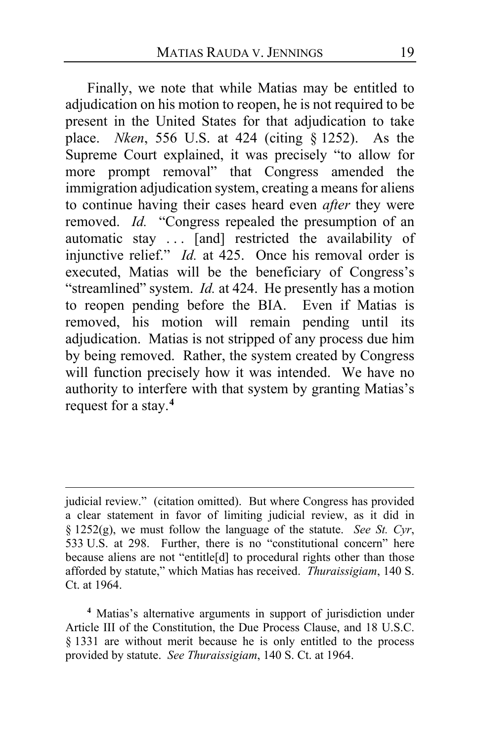Finally, we note that while Matias may be entitled to adjudication on his motion to reopen, he is not required to be present in the United States for that adjudication to take place. *Nken*, 556 U.S. at 424 (citing § 1252). As the Supreme Court explained, it was precisely "to allow for more prompt removal" that Congress amended the immigration adjudication system, creating a means for aliens to continue having their cases heard even *after* they were removed. *Id.* "Congress repealed the presumption of an automatic stay . . . [and] restricted the availability of injunctive relief." *Id.* at 425. Once his removal order is executed, Matias will be the beneficiary of Congress's "streamlined" system. *Id.* at 424. He presently has a motion to reopen pending before the BIA. Even if Matias is removed, his motion will remain pending until its adjudication. Matias is not stripped of any process due him by being removed. Rather, the system created by Congress will function precisely how it was intended. We have no authority to interfere with that system by granting Matias's request for a stay.**[4](#page-18-0)**

<span id="page-18-0"></span>**<sup>4</sup>** Matias's alternative arguments in support of jurisdiction under Article III of the Constitution, the Due Process Clause, and 18 U.S.C. § 1331 are without merit because he is only entitled to the process provided by statute. *See Thuraissigiam*, 140 S. Ct. at 1964.

judicial review." (citation omitted). But where Congress has provided a clear statement in favor of limiting judicial review, as it did in § 1252(g), we must follow the language of the statute. *See St. Cyr*, 533 U.S. at 298. Further, there is no "constitutional concern" here because aliens are not "entitle[d] to procedural rights other than those afforded by statute," which Matias has received. *Thuraissigiam*, 140 S. Ct. at 1964.